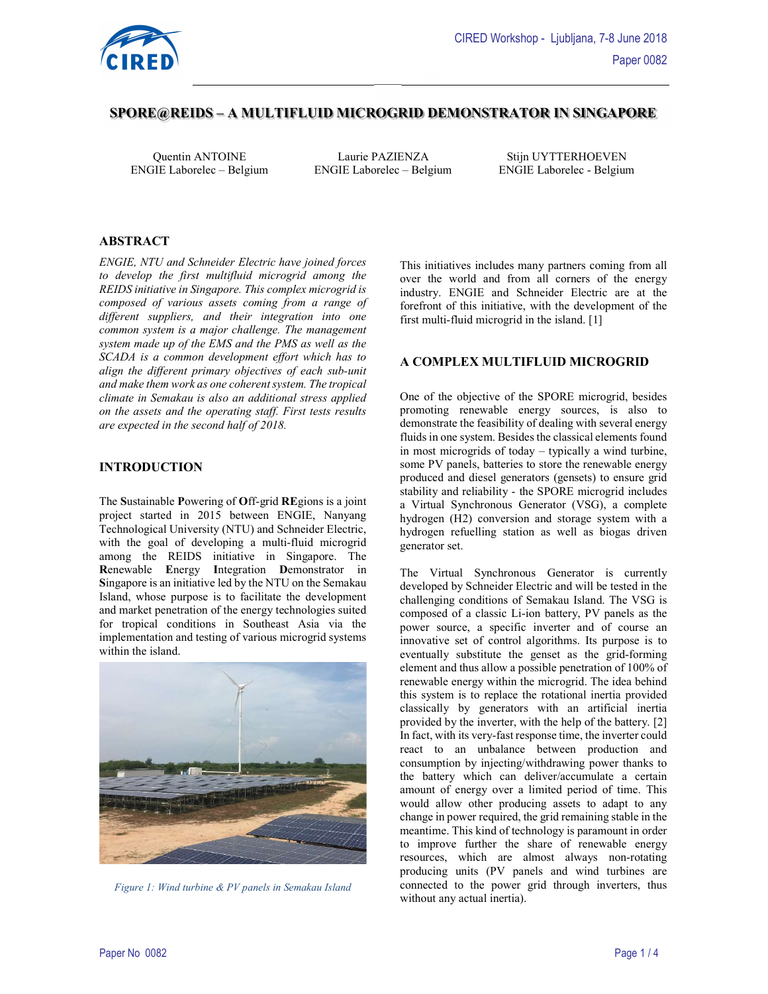

# SPORE@REIDS – A MULTIFLUID MICROGRID DEMONSTRATOR IN SINGAPORE

ENGIE Laborelec – Belgium ENGIE Laborelec – Belgium ENGIE Laborelec - Belgium

Quentin ANTOINE Laurie PAZIENZA Stijn UYTTERHOEVEN

### ABSTRACT

ENGIE, NTU and Schneider Electric have joined forces to develop the first multifluid microgrid among the REIDS initiative in Singapore. This complex microgrid is composed of various assets coming from a range of different suppliers, and their integration into one common system is a major challenge. The management system made up of the EMS and the PMS as well as the SCADA is a common development effort which has to align the different primary objectives of each sub-unit and make them work as one coherent system. The tropical climate in Semakau is also an additional stress applied on the assets and the operating staff. First tests results are expected in the second half of 2018.

#### INTRODUCTION

The Sustainable Powering of Off-grid REgions is a joint project started in 2015 between ENGIE, Nanyang Technological University (NTU) and Schneider Electric, with the goal of developing a multi-fluid microgrid among the REIDS initiative in Singapore. The Renewable Energy Integration Demonstrator in Singapore is an initiative led by the NTU on the Semakau Island, whose purpose is to facilitate the development and market penetration of the energy technologies suited for tropical conditions in Southeast Asia via the implementation and testing of various microgrid systems within the island.



Figure 1: Wind turbine & PV panels in Semakau Island

This initiatives includes many partners coming from all over the world and from all corners of the energy industry. ENGIE and Schneider Electric are at the forefront of this initiative, with the development of the first multi-fluid microgrid in the island. [1]

#### A COMPLEX MULTIFLUID MICROGRID

One of the objective of the SPORE microgrid, besides promoting renewable energy sources, is also to demonstrate the feasibility of dealing with several energy fluids in one system. Besides the classical elements found in most microgrids of today – typically a wind turbine, some PV panels, batteries to store the renewable energy produced and diesel generators (gensets) to ensure grid stability and reliability - the SPORE microgrid includes a Virtual Synchronous Generator (VSG), a complete hydrogen (H2) conversion and storage system with a hydrogen refuelling station as well as biogas driven generator set.

The Virtual Synchronous Generator is currently developed by Schneider Electric and will be tested in the challenging conditions of Semakau Island. The VSG is composed of a classic Li-ion battery, PV panels as the power source, a specific inverter and of course an innovative set of control algorithms. Its purpose is to eventually substitute the genset as the grid-forming element and thus allow a possible penetration of 100% of renewable energy within the microgrid. The idea behind this system is to replace the rotational inertia provided classically by generators with an artificial inertia provided by the inverter, with the help of the battery. [2] In fact, with its very-fast response time, the inverter could react to an unbalance between production and consumption by injecting/withdrawing power thanks to the battery which can deliver/accumulate a certain amount of energy over a limited period of time. This would allow other producing assets to adapt to any change in power required, the grid remaining stable in the meantime. This kind of technology is paramount in order to improve further the share of renewable energy resources, which are almost always non-rotating producing units (PV panels and wind turbines are connected to the power grid through inverters, thus without any actual inertia).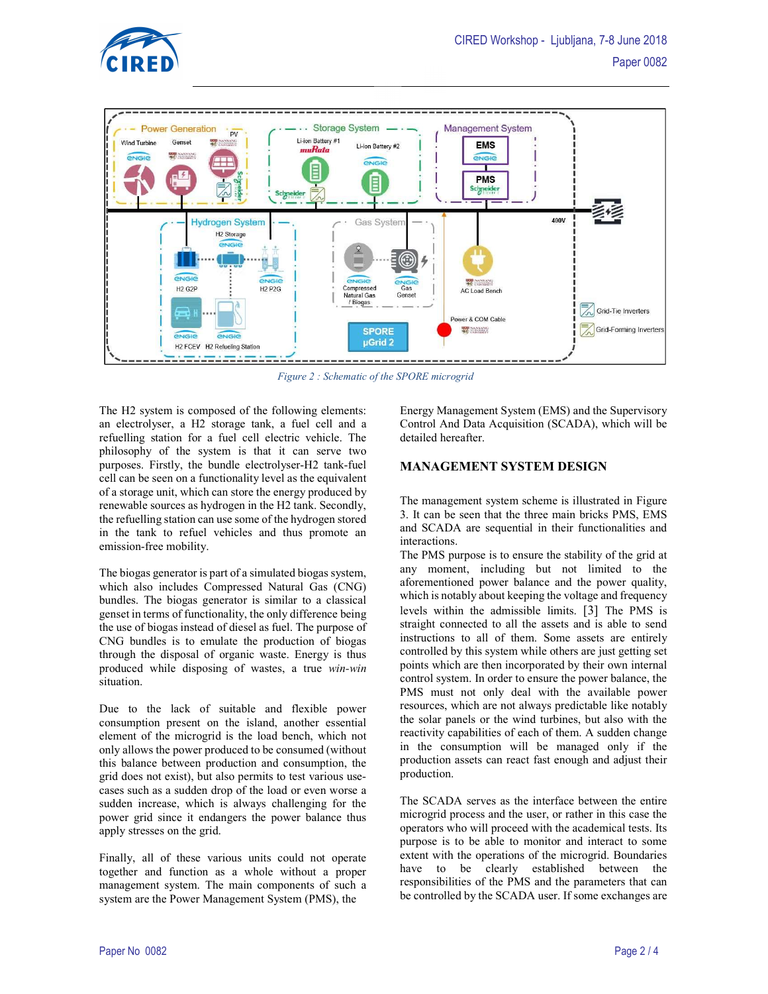





Figure 2 : Schematic of the SPORE microgrid

The H2 system is composed of the following elements: an electrolyser, a H2 storage tank, a fuel cell and a refuelling station for a fuel cell electric vehicle. The philosophy of the system is that it can serve two purposes. Firstly, the bundle electrolyser-H2 tank-fuel cell can be seen on a functionality level as the equivalent of a storage unit, which can store the energy produced by renewable sources as hydrogen in the H2 tank. Secondly, the refuelling station can use some of the hydrogen stored in the tank to refuel vehicles and thus promote an emission-free mobility.

The biogas generator is part of a simulated biogas system, which also includes Compressed Natural Gas (CNG) bundles. The biogas generator is similar to a classical genset in terms of functionality, the only difference being the use of biogas instead of diesel as fuel. The purpose of CNG bundles is to emulate the production of biogas through the disposal of organic waste. Energy is thus produced while disposing of wastes, a true win-win situation.

Due to the lack of suitable and flexible power consumption present on the island, another essential element of the microgrid is the load bench, which not only allows the power produced to be consumed (without this balance between production and consumption, the grid does not exist), but also permits to test various usecases such as a sudden drop of the load or even worse a sudden increase, which is always challenging for the power grid since it endangers the power balance thus apply stresses on the grid.

Finally, all of these various units could not operate together and function as a whole without a proper management system. The main components of such a system are the Power Management System (PMS), the

Energy Management System (EMS) and the Supervisory Control And Data Acquisition (SCADA), which will be detailed hereafter.

#### MANAGEMENT SYSTEM DESIGN

The management system scheme is illustrated in Figure 3. It can be seen that the three main bricks PMS, EMS and SCADA are sequential in their functionalities and interactions.

The PMS purpose is to ensure the stability of the grid at any moment, including but not limited to the aforementioned power balance and the power quality, which is notably about keeping the voltage and frequency levels within the admissible limits. [3] The PMS is straight connected to all the assets and is able to send instructions to all of them. Some assets are entirely controlled by this system while others are just getting set points which are then incorporated by their own internal control system. In order to ensure the power balance, the PMS must not only deal with the available power resources, which are not always predictable like notably the solar panels or the wind turbines, but also with the reactivity capabilities of each of them. A sudden change in the consumption will be managed only if the production assets can react fast enough and adjust their production.

The SCADA serves as the interface between the entire microgrid process and the user, or rather in this case the operators who will proceed with the academical tests. Its purpose is to be able to monitor and interact to some extent with the operations of the microgrid. Boundaries have to be clearly established between the responsibilities of the PMS and the parameters that can be controlled by the SCADA user. If some exchanges are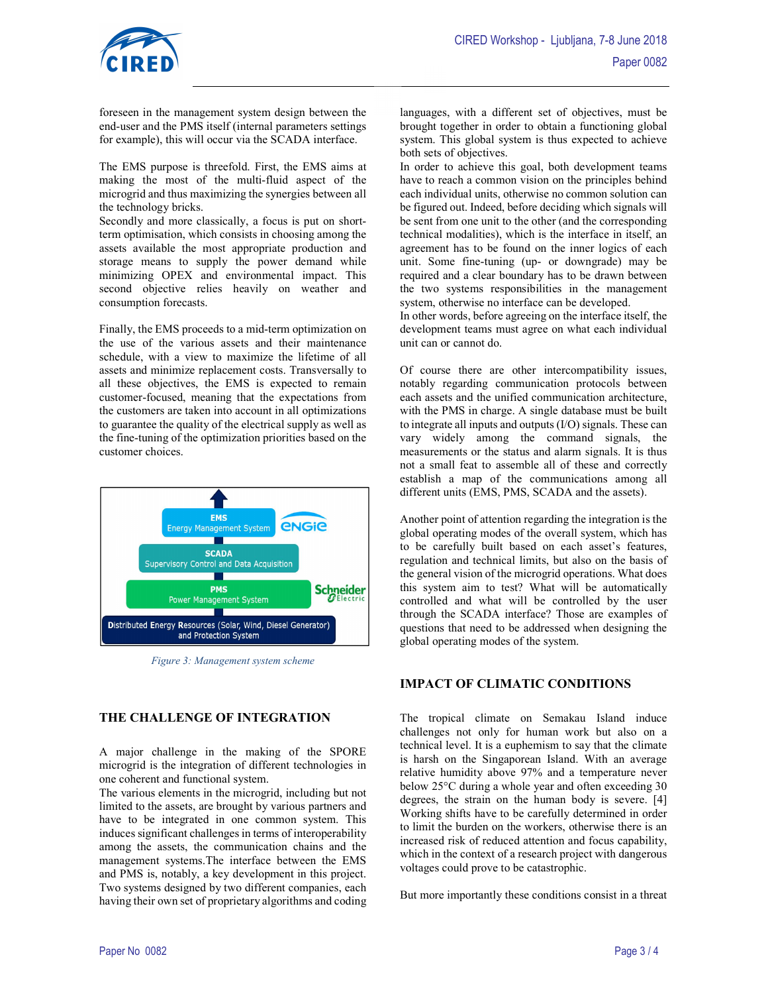

foreseen in the management system design between the end-user and the PMS itself (internal parameters settings for example), this will occur via the SCADA interface.

The EMS purpose is threefold. First, the EMS aims at making the most of the multi-fluid aspect of the microgrid and thus maximizing the synergies between all the technology bricks.

Secondly and more classically, a focus is put on shortterm optimisation, which consists in choosing among the assets available the most appropriate production and storage means to supply the power demand while minimizing OPEX and environmental impact. This second objective relies heavily on weather and consumption forecasts.

Finally, the EMS proceeds to a mid-term optimization on the use of the various assets and their maintenance schedule, with a view to maximize the lifetime of all assets and minimize replacement costs. Transversally to all these objectives, the EMS is expected to remain customer-focused, meaning that the expectations from the customers are taken into account in all optimizations to guarantee the quality of the electrical supply as well as the fine-tuning of the optimization priorities based on the customer choices.



Figure 3: Management system scheme

## THE CHALLENGE OF INTEGRATION

A major challenge in the making of the SPORE microgrid is the integration of different technologies in one coherent and functional system.

The various elements in the microgrid, including but not limited to the assets, are brought by various partners and have to be integrated in one common system. This induces significant challenges in terms of interoperability among the assets, the communication chains and the management systems.The interface between the EMS and PMS is, notably, a key development in this project. Two systems designed by two different companies, each having their own set of proprietary algorithms and coding languages, with a different set of objectives, must be brought together in order to obtain a functioning global system. This global system is thus expected to achieve both sets of objectives.

In order to achieve this goal, both development teams have to reach a common vision on the principles behind each individual units, otherwise no common solution can be figured out. Indeed, before deciding which signals will be sent from one unit to the other (and the corresponding technical modalities), which is the interface in itself, an agreement has to be found on the inner logics of each unit. Some fine-tuning (up- or downgrade) may be required and a clear boundary has to be drawn between the two systems responsibilities in the management system, otherwise no interface can be developed.

In other words, before agreeing on the interface itself, the development teams must agree on what each individual unit can or cannot do.

Of course there are other intercompatibility issues, notably regarding communication protocols between each assets and the unified communication architecture, with the PMS in charge. A single database must be built to integrate all inputs and outputs (I/O) signals. These can vary widely among the command signals, the measurements or the status and alarm signals. It is thus not a small feat to assemble all of these and correctly establish a map of the communications among all different units (EMS, PMS, SCADA and the assets).

Another point of attention regarding the integration is the global operating modes of the overall system, which has to be carefully built based on each asset's features, regulation and technical limits, but also on the basis of the general vision of the microgrid operations. What does this system aim to test? What will be automatically controlled and what will be controlled by the user through the SCADA interface? Those are examples of questions that need to be addressed when designing the global operating modes of the system.

## IMPACT OF CLIMATIC CONDITIONS

The tropical climate on Semakau Island induce challenges not only for human work but also on a technical level. It is a euphemism to say that the climate is harsh on the Singaporean Island. With an average relative humidity above 97% and a temperature never below 25°C during a whole year and often exceeding 30 degrees, the strain on the human body is severe. [4] Working shifts have to be carefully determined in order to limit the burden on the workers, otherwise there is an increased risk of reduced attention and focus capability, which in the context of a research project with dangerous voltages could prove to be catastrophic.

But more importantly these conditions consist in a threat